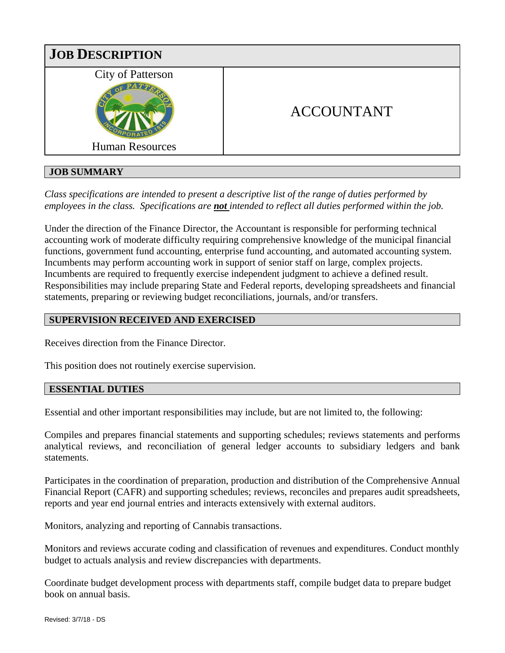

# **JOB SUMMARY**

*Class specifications are intended to present a descriptive list of the range of duties performed by employees in the class. Specifications are not intended to reflect all duties performed within the job.*

Under the direction of the Finance Director, the Accountant is responsible for performing technical accounting work of moderate difficulty requiring comprehensive knowledge of the municipal financial functions, government fund accounting, enterprise fund accounting, and automated accounting system. Incumbents may perform accounting work in support of senior staff on large, complex projects. Incumbents are required to frequently exercise independent judgment to achieve a defined result. Responsibilities may include preparing State and Federal reports, developing spreadsheets and financial statements, preparing or reviewing budget reconciliations, journals, and/or transfers.

## **SUPERVISION RECEIVED AND EXERCISED**

Receives direction from the Finance Director.

This position does not routinely exercise supervision.

## **ESSENTIAL DUTIES**

Essential and other important responsibilities may include, but are not limited to, the following:

Compiles and prepares financial statements and supporting schedules; reviews statements and performs analytical reviews, and reconciliation of general ledger accounts to subsidiary ledgers and bank statements.

Participates in the coordination of preparation, production and distribution of the Comprehensive Annual Financial Report (CAFR) and supporting schedules; reviews, reconciles and prepares audit spreadsheets, reports and year end journal entries and interacts extensively with external auditors.

Monitors, analyzing and reporting of Cannabis transactions.

Monitors and reviews accurate coding and classification of revenues and expenditures. Conduct monthly budget to actuals analysis and review discrepancies with departments.

Coordinate budget development process with departments staff, compile budget data to prepare budget book on annual basis.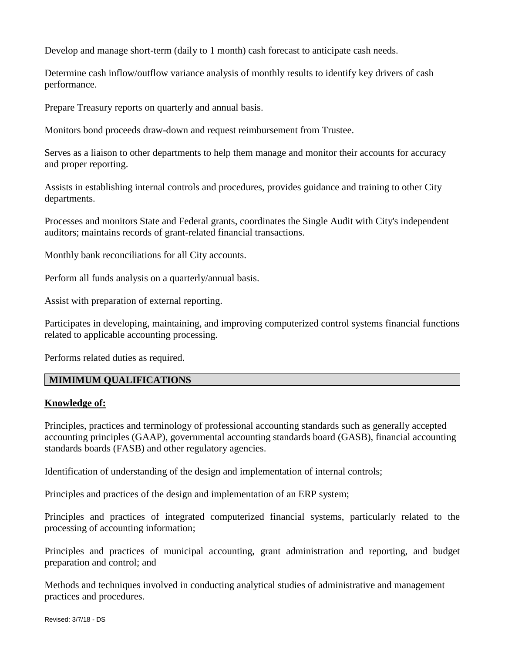Develop and manage short-term (daily to 1 month) cash forecast to anticipate cash needs.

Determine cash inflow/outflow variance analysis of monthly results to identify key drivers of cash performance.

Prepare Treasury reports on quarterly and annual basis.

Monitors bond proceeds draw-down and request reimbursement from Trustee.

Serves as a liaison to other departments to help them manage and monitor their accounts for accuracy and proper reporting.

Assists in establishing internal controls and procedures, provides guidance and training to other City departments.

Processes and monitors State and Federal grants, coordinates the Single Audit with City's independent auditors; maintains records of grant-related financial transactions.

Monthly bank reconciliations for all City accounts.

Perform all funds analysis on a quarterly/annual basis.

Assist with preparation of external reporting.

Participates in developing, maintaining, and improving computerized control systems financial functions related to applicable accounting processing.

Performs related duties as required.

## **MIMIMUM QUALIFICATIONS**

#### **Knowledge of:**

Principles, practices and terminology of professional accounting standards such as generally accepted accounting principles (GAAP), governmental accounting standards board (GASB), financial accounting standards boards (FASB) and other regulatory agencies.

Identification of understanding of the design and implementation of internal controls;

Principles and practices of the design and implementation of an ERP system;

Principles and practices of integrated computerized financial systems, particularly related to the processing of accounting information;

Principles and practices of municipal accounting, grant administration and reporting, and budget preparation and control; and

Methods and techniques involved in conducting analytical studies of administrative and management practices and procedures.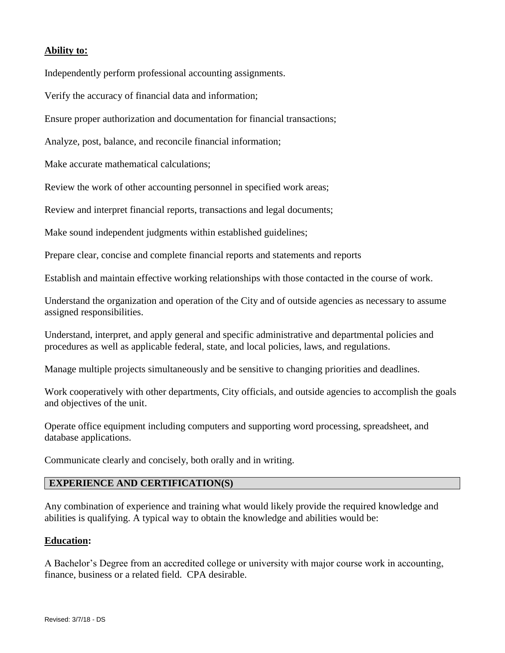## **Ability to:**

Independently perform professional accounting assignments.

Verify the accuracy of financial data and information;

Ensure proper authorization and documentation for financial transactions;

Analyze, post, balance, and reconcile financial information;

Make accurate mathematical calculations;

Review the work of other accounting personnel in specified work areas;

Review and interpret financial reports, transactions and legal documents;

Make sound independent judgments within established guidelines;

Prepare clear, concise and complete financial reports and statements and reports

Establish and maintain effective working relationships with those contacted in the course of work.

Understand the organization and operation of the City and of outside agencies as necessary to assume assigned responsibilities.

Understand, interpret, and apply general and specific administrative and departmental policies and procedures as well as applicable federal, state, and local policies, laws, and regulations.

Manage multiple projects simultaneously and be sensitive to changing priorities and deadlines.

Work cooperatively with other departments, City officials, and outside agencies to accomplish the goals and objectives of the unit.

Operate office equipment including computers and supporting word processing, spreadsheet, and database applications.

Communicate clearly and concisely, both orally and in writing.

## **EXPERIENCE AND CERTIFICATION(S)**

Any combination of experience and training what would likely provide the required knowledge and abilities is qualifying. A typical way to obtain the knowledge and abilities would be:

#### **Education:**

A Bachelor's Degree from an accredited college or university with major course work in accounting, finance, business or a related field. CPA desirable.